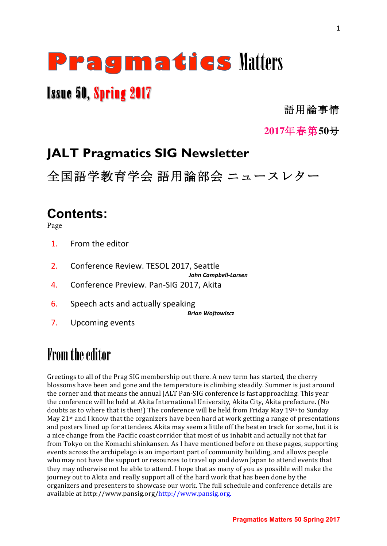# **Pragmaties Matters**

## Issue 50, Spring 2017

語用論事情

**2017**年春第**50**号

## **JALT Pragmatics SIG Newsletter**

全国語学教育学会 語用論部会 ニュースレター

## **Contents:**

Page

- 1. From the editor
- 2. Conference Review. TESOL 2017, Seattle

*John Campbell-Larsen*

- 4. Conference Preview. Pan-SIG 2017, Akita
- 6. Speech acts and actually speaking

*Brian Wojtowiscz*

7. Upcoming events

## From the editor

Greetings to all of the Prag SIG membership out there. A new term has started, the cherry blossoms have been and gone and the temperature is climbing steadily. Summer is just around the corner and that means the annual JALT Pan-SIG conference is fast approaching. This year the conference will be held at Akita International University, Akita City, Akita prefecture. (No doubts as to where that is then!) The conference will be held from Friday May 19th to Sunday May  $21$ <sup>st</sup> and I know that the organizers have been hard at work getting a range of presentations and posters lined up for attendees. Akita may seem a little off the beaten track for some, but it is a nice change from the Pacific coast corridor that most of us inhabit and actually not that far from Tokyo on the Komachi shinkansen. As I have mentioned before on these pages, supporting events across the archipelago is an important part of community building, and allows people who may not have the support or resources to travel up and down Japan to attend events that they may otherwise not be able to attend. I hope that as many of you as possible will make the journey out to Akita and really support all of the hard work that has been done by the organizers and presenters to showcase our work. The full schedule and conference details are available at http://www.pansig.org/http://www.pansig.org.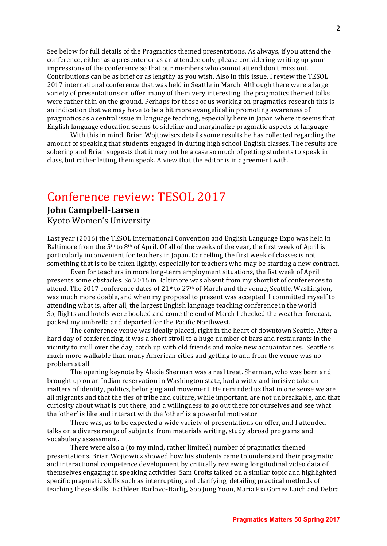See below for full details of the Pragmatics themed presentations. As always, if you attend the conference, either as a presenter or as an attendee only, please considering writing up your impressions of the conference so that our members who cannot attend don't miss out. Contributions can be as brief or as lengthy as you wish. Also in this issue, I review the TESOL 2017 international conference that was held in Seattle in March. Although there were a large variety of presentations on offer, many of them very interesting, the pragmatics themed talks were rather thin on the ground. Perhaps for those of us working on pragmatics research this is an indication that we may have to be a bit more evangelical in promoting awareness of pragmatics as a central issue in language teaching, especially here in Japan where it seems that English language education seems to sideline and marginalize pragmatic aspects of language.

With this in mind, Brian Wojtowiscz details some results he has collected regarding the amount of speaking that students engaged in during high school English classes. The results are sobering and Brian suggests that it may not be a case so much of getting students to speak in class, but rather letting them speak. A view that the editor is in agreement with.

## Conference review: TESOL 2017

#### **John Campbell-Larsen**

Kyoto Women's University

Last year (2016) the TESOL International Convention and English Language Expo was held in Baltimore from the  $5<sup>th</sup>$  to  $8<sup>th</sup>$  of April. Of all of the weeks of the year, the first week of April is particularly inconvenient for teachers in Japan. Cancelling the first week of classes is not something that is to be taken lightly, especially for teachers who may be starting a new contract.

Even for teachers in more long-term employment situations, the fist week of April presents some obstacles. So 2016 in Baltimore was absent from my shortlist of conferences to attend. The 2017 conference dates of  $21<sup>st</sup>$  to  $27<sup>th</sup>$  of March and the venue, Seattle, Washington, was much more doable, and when my proposal to present was accepted, I committed myself to attending what is, after all, the largest English language teaching conference in the world. So, flights and hotels were booked and come the end of March I checked the weather forecast, packed my umbrella and departed for the Pacific Northwest.

The conference venue was ideally placed, right in the heart of downtown Seattle. After a hard day of conferencing, it was a short stroll to a huge number of bars and restaurants in the vicinity to mull over the day, catch up with old friends and make new acquaintances. Seattle is much more walkable than many American cities and getting to and from the venue was no problem at all.

The opening keynote by Alexie Sherman was a real treat. Sherman, who was born and brought up on an Indian reservation in Washington state, had a witty and incisive take on matters of identity, politics, belonging and movement. He reminded us that in one sense we are all migrants and that the ties of tribe and culture, while important, are not unbreakable, and that curiosity about what is out there, and a willingness to go out there for ourselves and see what the 'other' is like and interact with the 'other' is a powerful motivator.

There was, as to be expected a wide variety of presentations on offer, and I attended talks on a diverse range of subjects, from materials writing, study abroad programs and vocabulary assessment. 

There were also a (to my mind, rather limited) number of pragmatics themed presentations. Brian Wojtowicz showed how his students came to understand their pragmatic and interactional competence development by critically reviewing longitudinal video data of themselves engaging in speaking activities. Sam Crofts talked on a similar topic and highlighted specific pragmatic skills such as interrupting and clarifying, detailing practical methods of teaching these skills. Kathleen Barlovo-Harlig, Soo Jung Yoon, Maria Pia Gomez Laich and Debra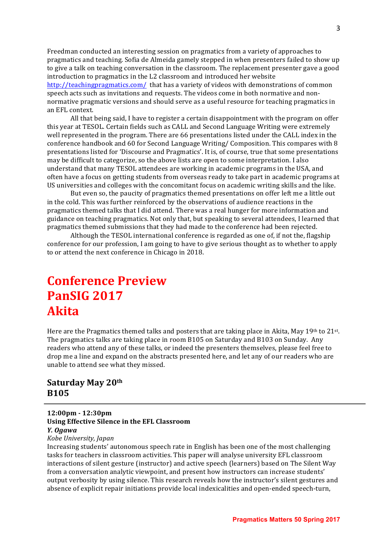Freedman conducted an interesting session on pragmatics from a variety of approaches to pragmatics and teaching. Sofia de Almeida gamely stepped in when presenters failed to show up to give a talk on teaching conversation in the classroom. The replacement presenter gave a good introduction to pragmatics in the L2 classroom and introduced her website http://teachingpragmatics.com/ that has a variety of videos with demonstrations of common speech acts such as invitations and requests. The videos come in both normative and nonnormative pragmatic versions and should serve as a useful resource for teaching pragmatics in an EFL context.

All that being said, I have to register a certain disappointment with the program on offer this year at TESOL. Certain fields such as CALL and Second Language Writing were extremely well represented in the program. There are 66 presentations listed under the CALL index in the conference handbook and 60 for Second Language Writing/ Composition. This compares with 8 presentations listed for 'Discourse and Pragmatics'. It is, of course, true that some presentations may be difficult to categorize, so the above lists are open to some interpretation. I also understand that many TESOL attendees are working in academic programs in the USA, and often have a focus on getting students from overseas ready to take part in academic programs at US universities and colleges with the concomitant focus on academic writing skills and the like.

But even so, the paucity of pragmatics themed presentations on offer left me a little out in the cold. This was further reinforced by the observations of audience reactions in the pragmatics themed talks that I did attend. There was a real hunger for more information and guidance on teaching pragmatics. Not only that, but speaking to several attendees, I learned that pragmatics themed submissions that they had made to the conference had been rejected.

Although the TESOL international conference is regarded as one of, if not the, flagship conference for our profession, I am going to have to give serious thought as to whether to apply to or attend the next conference in Chicago in 2018.

## **Conference Preview PanSIG 2017 Akita**

Here are the Pragmatics themed talks and posters that are taking place in Akita, May 19th to 21st. The pragmatics talks are taking place in room  $B105$  on Saturday and  $B103$  on Sunday. Any readers who attend any of these talks, or indeed the presenters themselves, please feel free to drop me a line and expand on the abstracts presented here, and let any of our readers who are unable to attend see what they missed.

#### **Saturday May 20th B105**

**12:00pm - 12:30pm Using Effective Silence in the EFL Classroom** *Y. Ogawa Kobe University, Japan*

Increasing students' autonomous speech rate in English has been one of the most challenging tasks for teachers in classroom activities. This paper will analyse university EFL classroom interactions of silent gesture (instructor) and active speech (learners) based on The Silent Way from a conversation analytic viewpoint, and present how instructors can increase students' output verbosity by using silence. This research reveals how the instructor's silent gestures and absence of explicit repair initiations provide local indexicalities and open-ended speech-turn,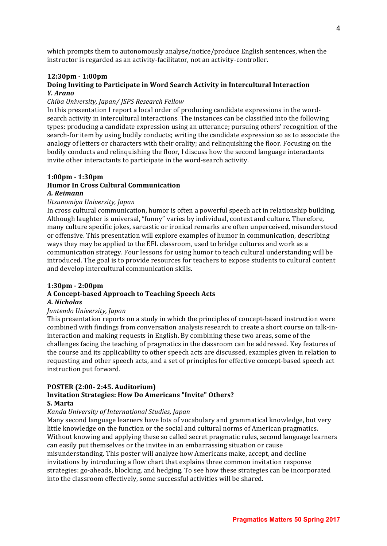which prompts them to autonomously analyse/notice/produce English sentences, when the instructor is regarded as an activity-facilitator, not an activity-controller.

#### **12:30pm - 1:00pm**

#### **Doing Inviting to Participate in Word Search Activity in Intercultural Interaction** *Y. Arano*

#### *Chiba University, Japan/ JSPS Research Fellow*

In this presentation I report a local order of producing candidate expressions in the wordsearch activity in intercultural interactions. The instances can be classified into the following types: producing a candidate expression using an utterance; pursuing others' recognition of the search-for item by using bodily conducts; writing the candidate expression so as to associate the analogy of letters or characters with their orality; and relinquishing the floor. Focusing on the bodily conducts and relinquishing the floor, I discuss how the second language interactants invite other interactants to participate in the word-search activity.

#### **1:00pm - 1:30pm Humor In Cross Cultural Communication** *A. Reimann*

#### *Utsunomiya University, Japan*

In cross cultural communication, humor is often a powerful speech act in relationship building. Although laughter is universal, "funny" varies by individual, context and culture. Therefore, many culture specific jokes, sarcastic or ironical remarks are often unperceived, misunderstood or offensive. This presentation will explore examples of humor in communication, describing ways they may be applied to the EFL classroom, used to bridge cultures and work as a communication strategy. Four lessons for using humor to teach cultural understanding will be introduced. The goal is to provide resources for teachers to expose students to cultural content and develop intercultural communication skills.

#### **1:30pm - 2:00pm**

#### **A Concept-based Approach to Teaching Speech Acts**

#### *A. Nicholas*

#### *Juntendo University, Japan*

This presentation reports on a study in which the principles of concept-based instruction were combined with findings from conversation analysis research to create a short course on talk-ininteraction and making requests in English. By combining these two areas, some of the challenges facing the teaching of pragmatics in the classroom can be addressed. Key features of the course and its applicability to other speech acts are discussed, examples given in relation to requesting and other speech acts, and a set of principles for effective concept-based speech act instruction put forward.

#### **POSTER (2:00- 2:45. Auditorium)**

#### **Invitation Strategies: How Do Americans "Invite" Others? S. Marta**

#### *Kanda University of International Studies, Japan*

Many second language learners have lots of vocabulary and grammatical knowledge, but very little knowledge on the function or the social and cultural norms of American pragmatics. Without knowing and applying these so called secret pragmatic rules, second language learners can easily put themselves or the invitee in an embarrassing situation or cause misunderstanding. This poster will analyze how Americans make, accept, and decline invitations by introducing a flow chart that explains three common invitation response strategies: go-aheads, blocking, and hedging. To see how these strategies can be incorporated into the classroom effectively, some successful activities will be shared.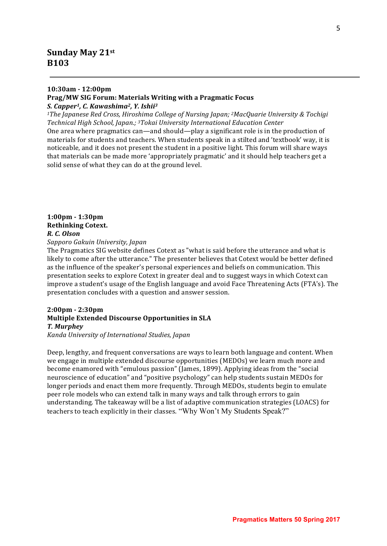#### **Sunday May 21st B103**

#### **10:30am - 12:00pm**

#### **Prag/MW SIG Forum: Materials Writing with a Pragmatic Focus**

*S. Capper1, C. Kawashima2, Y. Ishii3*

*1The Japanese Red Cross, Hiroshima College of Nursing Japan; <sup>2</sup>MacQuarie University & Tochigi Technical High School, Japan.; 3Tokai University International Education Center*

One area where pragmatics can—and should—play a significant role is in the production of materials for students and teachers. When students speak in a stilted and 'textbook' way, it is noticeable, and it does not present the student in a positive light. This forum will share ways that materials can be made more 'appropriately pragmatic' and it should help teachers get a solid sense of what they can do at the ground level.

#### **1:00pm - 1:30pm Rethinking Cotext.** *R. C. Olson*

*Sapporo Gakuin University, Japan*

The Pragmatics SIG website defines Cotext as "what is said before the utterance and what is likely to come after the utterance." The presenter believes that Cotext would be better defined as the influence of the speaker's personal experiences and beliefs on communication. This presentation seeks to explore Cotext in greater deal and to suggest ways in which Cotext can improve a student's usage of the English language and avoid Face Threatening Acts (FTA's). The presentation concludes with a question and answer session.

#### **2:00pm - 2:30pm Multiple Extended Discourse Opportunities in SLA** *T. Murphey*

*Kanda University of International Studies, Japan*

Deep, lengthy, and frequent conversations are ways to learn both language and content. When we engage in multiple extended discourse opportunities (MEDOs) we learn much more and become enamored with "emulous passion" (James, 1899). Applying ideas from the "social neuroscience of education" and "positive psychology" can help students sustain MEDOs for longer periods and enact them more frequently. Through MEDOs, students begin to emulate peer role models who can extend talk in many ways and talk through errors to gain understanding. The takeaway will be a list of adaptive communication strategies (LOACS) for teachers to teach explicitly in their classes. "Why Won't My Students Speak?"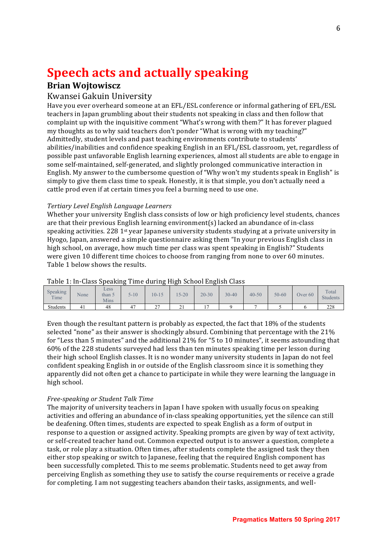## **Speech acts and actually speaking**

#### **Brian Wojtowiscz**

#### Kwansei Gakuin University

Have you ever overheard someone at an EFL/ESL conference or informal gathering of EFL/ESL teachers in Japan grumbling about their students not speaking in class and then follow that complaint up with the inquisitive comment "What's wrong with them?" It has forever plagued my thoughts as to why said teachers don't ponder "What is wrong with my teaching?" Admittedly, student levels and past teaching environments contribute to students' abilities/inabilities and confidence speaking English in an EFL/ESL classroom, yet, regardless of possible past unfavorable English learning experiences, almost all students are able to engage in some self-maintained, self-generated, and slightly prolonged communicative interaction in English. My answer to the cumbersome question of "Why won't my students speak in English" is simply to give them class time to speak. Honestly, it is that simple, you don't actually need a cattle prod even if at certain times you feel a burning need to use one.

#### *Tertiary Level English Language Learners*

Whether your university English class consists of low or high proficiency level students, chances are that their previous English learning environment(s) lacked an abundance of in-class speaking activities. 228 1<sup>st</sup> year Japanese university students studying at a private university in Hyogo, Japan, answered a simple questionnaire asking them "In your previous English class in high school, on average, how much time per class was spent speaking in English?" Students were given 10 different time choices to choose from ranging from none to over 60 minutes. Table 1 below shows the results.

|                  |      |                        | . .      | ີ           | . .           | ີ              |           |           |           |                    |                          |
|------------------|------|------------------------|----------|-------------|---------------|----------------|-----------|-----------|-----------|--------------------|--------------------------|
| Speaking<br>Time | None | Less<br>than 5<br>Mins | $5 - 10$ | $10 - 15$   | $15 - 20$     | $20 - 30$      | $30 - 40$ | $40 - 50$ | $50 - 60$ | Over <sub>60</sub> | Total<br><b>Students</b> |
| Students         | 41   | 48                     | 47       | $\sim$<br>∼ | $\sim$<br>∸ ⊥ | $\overline{ }$ |           |           |           |                    | 228                      |

#### Table 1: In-Class Speaking Time during High School English Class

Even though the resultant pattern is probably as expected, the fact that  $18\%$  of the students selected "none" as their answer is shockingly absurd. Combining that percentage with the 21% for "Less than 5 minutes" and the additional  $21\%$  for "5 to 10 minutes", it seems astounding that 60% of the 228 students surveyed had less than ten minutes speaking time per lesson during their high school English classes. It is no wonder many university students in Japan do not feel confident speaking English in or outside of the English classroom since it is something they apparently did not often get a chance to participate in while they were learning the language in high school.

#### *Free-speaking or Student Talk Time*

The majority of university teachers in Japan I have spoken with usually focus on speaking activities and offering an abundance of in-class speaking opportunities, yet the silence can still be deafening. Often times, students are expected to speak English as a form of output in response to a question or assigned activity. Speaking prompts are given by way of text activity, or self-created teacher hand out. Common expected output is to answer a question, complete a task, or role play a situation. Often times, after students complete the assigned task they then either stop speaking or switch to Japanese, feeling that the required English component has been successfully completed. This to me seems problematic. Students need to get away from perceiving English as something they use to satisfy the course requirements or receive a grade for completing. I am not suggesting teachers abandon their tasks, assignments, and well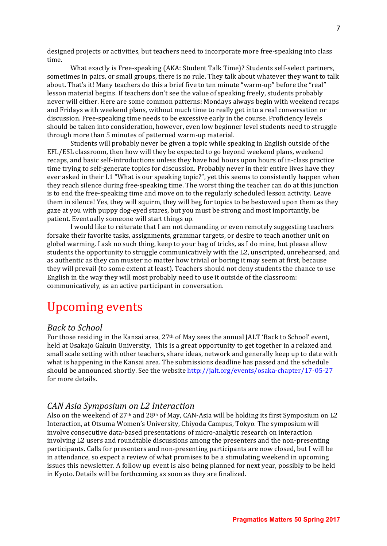designed projects or activities, but teachers need to incorporate more free-speaking into class time. 

What exactly is Free-speaking (AKA: Student Talk Time)? Students self-select partners, sometimes in pairs, or small groups, there is no rule. They talk about whatever they want to talk about. That's it! Many teachers do this a brief five to ten minute "warm-up" before the "real" lesson material begins. If teachers don't see the value of speaking freely, students probably never will either. Here are some common patterns: Mondays always begin with weekend recaps and Fridays with weekend plans, without much time to really get into a real conversation or discussion. Free-speaking time needs to be excessive early in the course. Proficiency levels should be taken into consideration, however, even low beginner level students need to struggle through more than 5 minutes of patterned warm-up material.

Students will probably never be given a topic while speaking in English outside of the  $EFL/ESL$  classroom, then how will they be expected to go beyond weekend plans, weekend recaps, and basic self-introductions unless they have had hours upon hours of in-class practice time trying to self-generate topics for discussion. Probably never in their entire lives have they ever asked in their L1 "What is our speaking topic?", yet this seems to consistently happen when they reach silence during free-speaking time. The worst thing the teacher can do at this junction is to end the free-speaking time and move on to the regularly scheduled lesson activity. Leave them in silence! Yes, they will squirm, they will beg for topics to be bestowed upon them as they gaze at you with puppy dog-eyed stares, but you must be strong and most importantly, be patient. Eventually someone will start things up.

I would like to reiterate that I am not demanding or even remotely suggesting teachers forsake their favorite tasks, assignments, grammar targets, or desire to teach another unit on global warming. I ask no such thing, keep to your bag of tricks, as I do mine, but please allow students the opportunity to struggle communicatively with the L2, unscripted, unrehearsed, and as authentic as they can muster no matter how trivial or boring it may seem at first, because they will prevail (to some extent at least). Teachers should not deny students the chance to use English in the way they will most probably need to use it outside of the classroom: communicatively, as an active participant in conversation.

## Upcoming events

#### *Back to School*

For those residing in the Kansai area, 27<sup>th</sup> of May sees the annual JALT 'Back to School' event, held at Osakajo Gakuin University, This is a great opportunity to get together in a relaxed and small scale setting with other teachers, share ideas, network and generally keep up to date with what is happening in the Kansai area. The submissions deadline has passed and the schedule should be announced shortly. See the website http://jalt.org/events/osaka-chapter/17-05-27 for more details.

#### *CAN Asia Symposium on L2 Interaction*

Also on the weekend of  $27<sup>th</sup>$  and  $28<sup>th</sup>$  of May, CAN-Asia will be holding its first Symposium on L2 Interaction, at Otsuma Women's University, Chiyoda Campus, Tokyo. The symposium will involve consecutive data-based presentations of micro-analytic research on interaction involving L2 users and roundtable discussions among the presenters and the non-presenting participants. Calls for presenters and non-presenting participants are now closed, but I will be in attendance, so expect a review of what promises to be a stimulating weekend in upcoming issues this newsletter. A follow up event is also being planned for next year, possibly to be held in Kyoto. Details will be forthcoming as soon as they are finalized.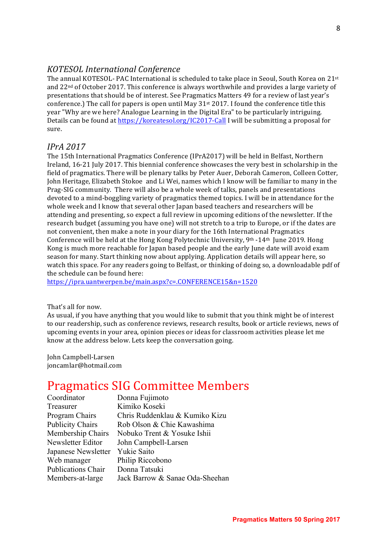#### *KOTESOL International Conference*

The annual KOTESOL- PAC International is scheduled to take place in Seoul, South Korea on 21st and  $22<sup>nd</sup>$  of October 2017. This conference is always worthwhile and provides a large variety of presentations that should be of interest. See Pragmatics Matters 49 for a review of last year's conference.) The call for papers is open until May  $31<sup>st</sup> 2017$ . I found the conference title this year "Why are we here? Analogue Learning in the Digital Era" to be particularly intriguing. Details can be found at https://koreatesol.org/IC2017-Call I will be submitting a proposal for sure.

#### *IPrA 2017*

The 15th International Pragmatics Conference (IPrA2017) will be held in Belfast, Northern Ireland, 16-21 July 2017. This biennial conference showcases the very best in scholarship in the field of pragmatics. There will be plenary talks by Peter Auer, Deborah Cameron, Colleen Cotter, John Heritage, Elizabeth Stokoe and Li Wei, names which I know will be familiar to many in the Prag-SIG community. There will also be a whole week of talks, panels and presentations devoted to a mind-boggling variety of pragmatics themed topics. I will be in attendance for the whole week and I know that several other Japan based teachers and researchers will be attending and presenting, so expect a full review in upcoming editions of the newsletter. If the research budget (assuming you have one) will not stretch to a trip to Europe, or if the dates are not convenient, then make a note in your diary for the 16th International Pragmatics Conference will be held at the Hong Kong Polytechnic University,  $9<sup>th</sup> -14<sup>th</sup>$  June 2019. Hong Kong is much more reachable for Japan based people and the early June date will avoid exam season for many. Start thinking now about applying. Application details will appear here, so watch this space. For any readers going to Belfast, or thinking of doing so, a downloadable pdf of the schedule can be found here:

https://ipra.uantwerpen.be/main.aspx?c=.CONFERENCE15&n=1520

#### That's all for now.

As usual, if you have anything that you would like to submit that you think might be of interest to our readership, such as conference reviews, research results, book or article reviews, news of upcoming events in your area, opinion pieces or ideas for classroom activities please let me know at the address below. Lets keep the conversation going.

John Campbell-Larsen joncamlar@hotmail.com

### Pragmatics SIG Committee Members

| Coordinator             | Donna Fujimoto                  |
|-------------------------|---------------------------------|
| Treasurer               | Kimiko Koseki                   |
| Program Chairs          | Chris Ruddenklau & Kumiko Kizu  |
| <b>Publicity Chairs</b> | Rob Olson & Chie Kawashima      |
| Membership Chairs       | Nobuko Trent & Yosuke Ishii     |
| Newsletter Editor       | John Campbell-Larsen            |
| Japanese Newsletter     | Yukie Saito                     |
| Web manager             | Philip Riccobono                |
| Publications Chair      | Donna Tatsuki                   |
| Members-at-large        | Jack Barrow & Sanae Oda-Sheehan |